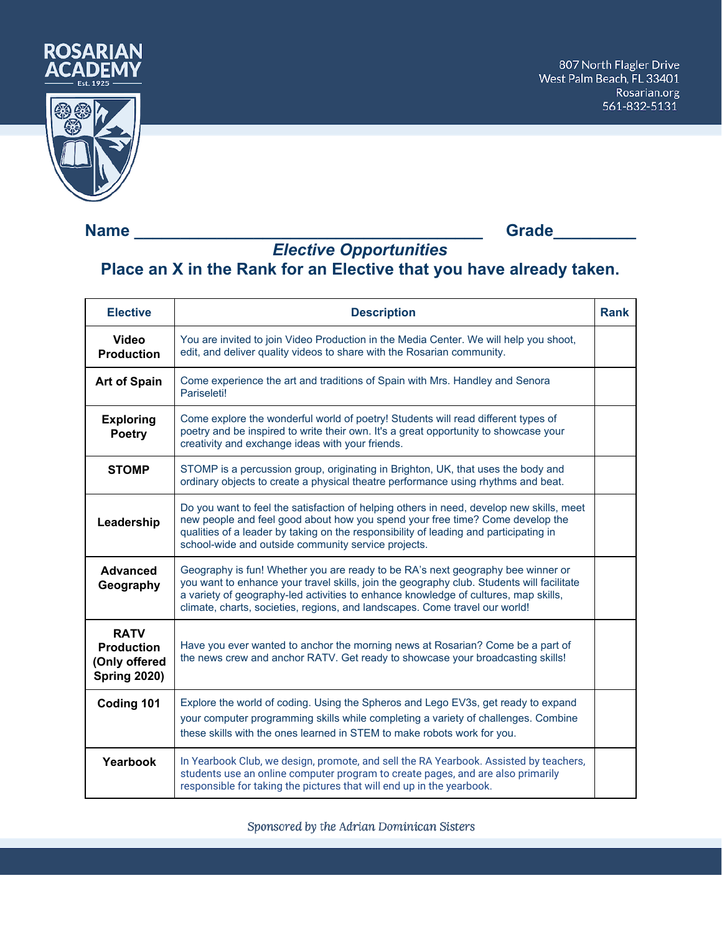

## **Name \_\_\_\_\_\_\_\_\_\_\_\_\_\_\_\_\_\_\_\_\_\_\_\_\_\_\_\_\_\_\_\_\_\_\_\_\_\_ Grade\_\_\_\_\_\_\_\_\_**

## *Elective Opportunities* **Place an X in the Rank for an Elective that you have already taken.**

| <b>Elective</b>                                                          | <b>Description</b>                                                                                                                                                                                                                                                                                                                                 | <b>Rank</b> |
|--------------------------------------------------------------------------|----------------------------------------------------------------------------------------------------------------------------------------------------------------------------------------------------------------------------------------------------------------------------------------------------------------------------------------------------|-------------|
| <b>Video</b><br><b>Production</b>                                        | You are invited to join Video Production in the Media Center. We will help you shoot,<br>edit, and deliver quality videos to share with the Rosarian community.                                                                                                                                                                                    |             |
| <b>Art of Spain</b>                                                      | Come experience the art and traditions of Spain with Mrs. Handley and Senora<br>Pariseleti!                                                                                                                                                                                                                                                        |             |
| <b>Exploring</b><br><b>Poetry</b>                                        | Come explore the wonderful world of poetry! Students will read different types of<br>poetry and be inspired to write their own. It's a great opportunity to showcase your<br>creativity and exchange ideas with your friends.                                                                                                                      |             |
| <b>STOMP</b>                                                             | STOMP is a percussion group, originating in Brighton, UK, that uses the body and<br>ordinary objects to create a physical theatre performance using rhythms and beat.                                                                                                                                                                              |             |
| Leadership                                                               | Do you want to feel the satisfaction of helping others in need, develop new skills, meet<br>new people and feel good about how you spend your free time? Come develop the<br>qualities of a leader by taking on the responsibility of leading and participating in<br>school-wide and outside community service projects.                          |             |
| <b>Advanced</b><br>Geography                                             | Geography is fun! Whether you are ready to be RA's next geography bee winner or<br>you want to enhance your travel skills, join the geography club. Students will facilitate<br>a variety of geography-led activities to enhance knowledge of cultures, map skills,<br>climate, charts, societies, regions, and landscapes. Come travel our world! |             |
| <b>RATV</b><br><b>Production</b><br>(Only offered<br><b>Spring 2020)</b> | Have you ever wanted to anchor the morning news at Rosarian? Come be a part of<br>the news crew and anchor RATV. Get ready to showcase your broadcasting skills!                                                                                                                                                                                   |             |
| Coding 101                                                               | Explore the world of coding. Using the Spheros and Lego EV3s, get ready to expand<br>your computer programming skills while completing a variety of challenges. Combine<br>these skills with the ones learned in STEM to make robots work for you.                                                                                                 |             |
| Yearbook                                                                 | In Yearbook Club, we design, promote, and sell the RA Yearbook. Assisted by teachers,<br>students use an online computer program to create pages, and are also primarily<br>responsible for taking the pictures that will end up in the yearbook.                                                                                                  |             |

Sponsored by the Adrian Dominican Sisters